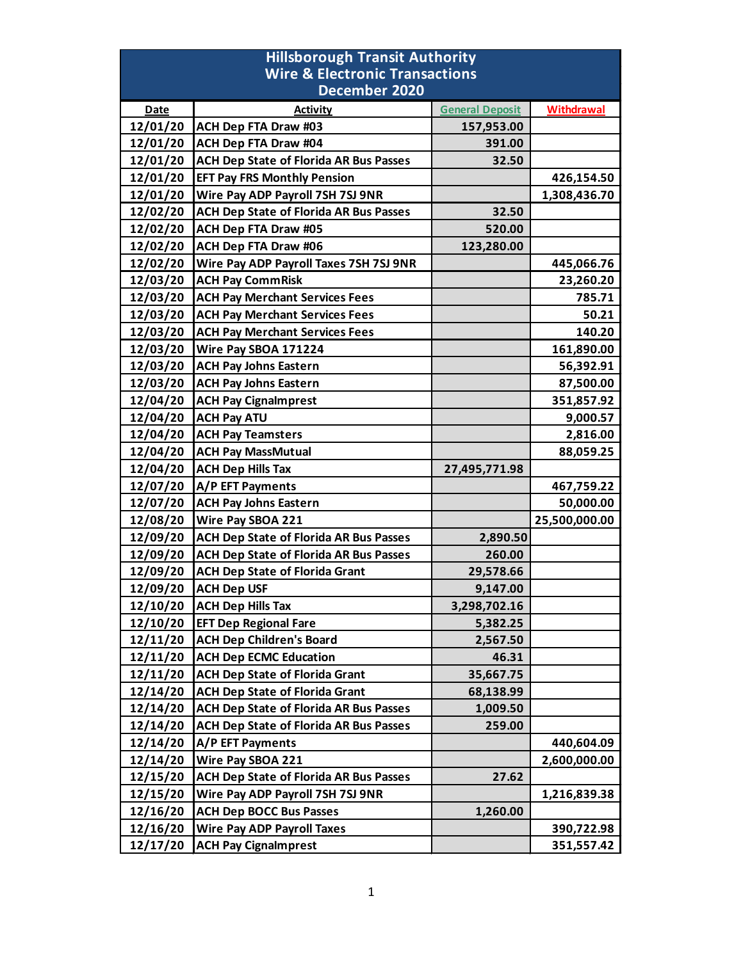| <b>Hillsborough Transit Authority</b>                      |                                               |                        |                   |  |
|------------------------------------------------------------|-----------------------------------------------|------------------------|-------------------|--|
| <b>Wire &amp; Electronic Transactions</b><br>December 2020 |                                               |                        |                   |  |
| <b>Date</b>                                                | <b>Activity</b>                               | <b>General Deposit</b> | <b>Withdrawal</b> |  |
| 12/01/20                                                   | <b>ACH Dep FTA Draw #03</b>                   | 157,953.00             |                   |  |
| 12/01/20                                                   | ACH Dep FTA Draw #04                          | 391.00                 |                   |  |
| 12/01/20                                                   | <b>ACH Dep State of Florida AR Bus Passes</b> | 32.50                  |                   |  |
| 12/01/20                                                   | <b>EFT Pay FRS Monthly Pension</b>            |                        | 426,154.50        |  |
| 12/01/20                                                   | Wire Pay ADP Payroll 7SH 7SJ 9NR              |                        | 1,308,436.70      |  |
| 12/02/20                                                   | <b>ACH Dep State of Florida AR Bus Passes</b> | 32.50                  |                   |  |
| 12/02/20                                                   | ACH Dep FTA Draw #05                          | 520.00                 |                   |  |
| 12/02/20                                                   | <b>ACH Dep FTA Draw #06</b>                   | 123,280.00             |                   |  |
| 12/02/20                                                   | Wire Pay ADP Payroll Taxes 7SH 7SJ 9NR        |                        | 445,066.76        |  |
| 12/03/20                                                   | <b>ACH Pay CommRisk</b>                       |                        | 23,260.20         |  |
| 12/03/20                                                   | <b>ACH Pay Merchant Services Fees</b>         |                        | 785.71            |  |
| 12/03/20                                                   | <b>ACH Pay Merchant Services Fees</b>         |                        | 50.21             |  |
| 12/03/20                                                   | <b>ACH Pay Merchant Services Fees</b>         |                        | 140.20            |  |
| 12/03/20                                                   | Wire Pay SBOA 171224                          |                        | 161,890.00        |  |
| 12/03/20                                                   | <b>ACH Pay Johns Eastern</b>                  |                        | 56,392.91         |  |
| 12/03/20                                                   | <b>ACH Pay Johns Eastern</b>                  |                        | 87,500.00         |  |
| 12/04/20                                                   | <b>ACH Pay Cignalmprest</b>                   |                        | 351,857.92        |  |
| 12/04/20                                                   | <b>ACH Pay ATU</b>                            |                        | 9,000.57          |  |
| 12/04/20                                                   | <b>ACH Pay Teamsters</b>                      |                        | 2,816.00          |  |
| 12/04/20                                                   | <b>ACH Pay MassMutual</b>                     |                        | 88,059.25         |  |
| 12/04/20                                                   | <b>ACH Dep Hills Tax</b>                      | 27,495,771.98          |                   |  |
| 12/07/20                                                   | A/P EFT Payments                              |                        | 467,759.22        |  |
| 12/07/20                                                   | <b>ACH Pay Johns Eastern</b>                  |                        | 50,000.00         |  |
| 12/08/20                                                   | Wire Pay SBOA 221                             |                        | 25,500,000.00     |  |
| 12/09/20                                                   | <b>ACH Dep State of Florida AR Bus Passes</b> | 2,890.50               |                   |  |
| 12/09/20                                                   | <b>ACH Dep State of Florida AR Bus Passes</b> | 260.00                 |                   |  |
| 12/09/20                                                   | <b>ACH Dep State of Florida Grant</b>         | 29,578.66              |                   |  |
| 12/09/20                                                   | <b>ACH Dep USF</b>                            | 9,147.00               |                   |  |
| 12/10/20                                                   | <b>ACH Dep Hills Tax</b>                      | 3,298,702.16           |                   |  |
| 12/10/20                                                   | <b>EFT Dep Regional Fare</b>                  | 5,382.25               |                   |  |
| 12/11/20                                                   | <b>ACH Dep Children's Board</b>               | 2,567.50               |                   |  |
| 12/11/20                                                   | <b>ACH Dep ECMC Education</b>                 | 46.31                  |                   |  |
| 12/11/20                                                   | <b>ACH Dep State of Florida Grant</b>         | 35,667.75              |                   |  |
| 12/14/20                                                   | <b>ACH Dep State of Florida Grant</b>         | 68,138.99              |                   |  |
| 12/14/20                                                   | <b>ACH Dep State of Florida AR Bus Passes</b> | 1,009.50               |                   |  |
| 12/14/20                                                   | <b>ACH Dep State of Florida AR Bus Passes</b> | 259.00                 |                   |  |
| 12/14/20                                                   | A/P EFT Payments                              |                        | 440,604.09        |  |
| 12/14/20                                                   | Wire Pay SBOA 221                             |                        | 2,600,000.00      |  |
| 12/15/20                                                   | <b>ACH Dep State of Florida AR Bus Passes</b> | 27.62                  |                   |  |
| 12/15/20                                                   | Wire Pay ADP Payroll 7SH 7SJ 9NR              |                        | 1,216,839.38      |  |
| 12/16/20                                                   | <b>ACH Dep BOCC Bus Passes</b>                | 1,260.00               |                   |  |
| 12/16/20                                                   | <b>Wire Pay ADP Payroll Taxes</b>             |                        | 390,722.98        |  |
| 12/17/20                                                   | <b>ACH Pay Cignalmprest</b>                   |                        | 351,557.42        |  |